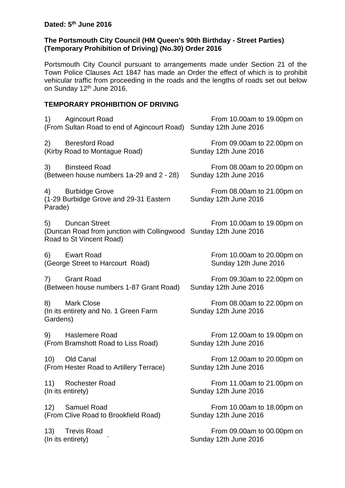## **The Portsmouth City Council (HM Queen's 90th Birthday - Street Parties) (Temporary Prohibition of Driving) (No.30) Order 2016**

Portsmouth City Council pursuant to arrangements made under Section 21 of the Town Police Clauses Act 1847 has made an Order the effect of which is to prohibit vehicular traffic from proceeding in the roads and the lengths of roads set out below on Sunday 12<sup>th</sup> June 2016.

## **TEMPORARY PROHIBITION OF DRIVING**

| <b>Agincourt Road</b><br>1)<br>(From Sultan Road to end of Agincourt Road)                                                  | From 10.00am to 19.00pm on<br>Sunday 12th June 2016 |
|-----------------------------------------------------------------------------------------------------------------------------|-----------------------------------------------------|
| 2)<br><b>Beresford Road</b><br>(Kirby Road to Montague Road)                                                                | From 09.00am to 22.00pm on<br>Sunday 12th June 2016 |
| 3)<br><b>Binsteed Road</b><br>(Between house numbers 1a-29 and 2 - 28)                                                      | From 08.00am to 20.00pm on<br>Sunday 12th June 2016 |
| 4) Burbidge Grove<br>(1-29 Burbidge Grove and 29-31 Eastern<br>Parade)                                                      | From 08.00am to 21.00pm on<br>Sunday 12th June 2016 |
| <b>Duncan Street</b><br>5)<br>(Duncan Road from junction with Collingwood Sunday 12th June 2016<br>Road to St Vincent Road) | From 10.00am to 19.00pm on                          |
| 6)<br><b>Ewart Road</b><br>(George Street to Harcourt Road)                                                                 | From 10.00am to 20.00pm on<br>Sunday 12th June 2016 |
| <b>Grant Road</b><br>7)<br>(Between house numbers 1-87 Grant Road)                                                          | From 09.30am to 22.00pm on<br>Sunday 12th June 2016 |
| 8)<br><b>Mark Close</b><br>(In its entirety and No. 1 Green Farm<br>Gardens)                                                | From 08.00am to 22.00pm on<br>Sunday 12th June 2016 |
| <b>Haslemere Road</b><br>9)<br>(From Bramshott Road to Liss Road)                                                           | From 12.00am to 19.00pm on<br>Sunday 12th June 2016 |
| 10)<br>Old Canal<br>(From Hester Road to Artillery Terrace)                                                                 | From 12.00am to 20.00pm on<br>Sunday 12th June 2016 |
| 11)<br><b>Rochester Road</b><br>(In its entirety)                                                                           | From 11.00am to 21.00pm on<br>Sunday 12th June 2016 |
| 12)<br><b>Samuel Road</b><br>(From Clive Road to Brookfield Road)                                                           | From 10.00am to 18.00pm on<br>Sunday 12th June 2016 |
| <b>Trevis Road</b><br>13)<br>(In its entirety)                                                                              | From 09.00am to 00.00pm on<br>Sunday 12th June 2016 |